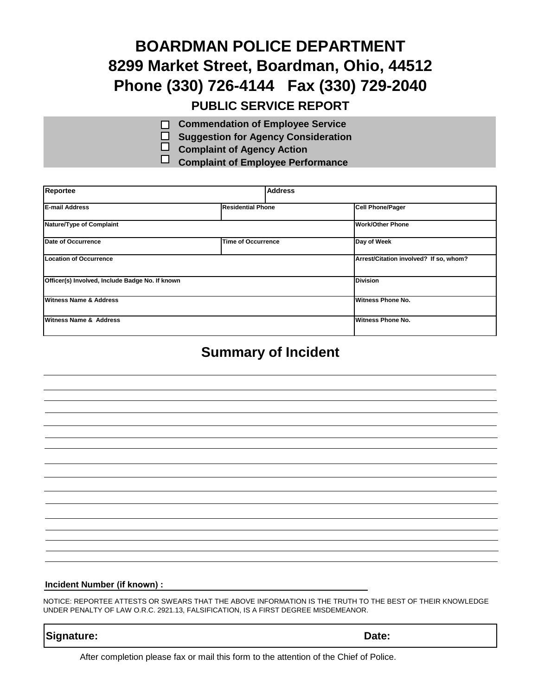## **BOARDMAN POLICE DEPARTMENT 8299 Market Street, Boardman, Ohio, 44512 Phone (330) 726-4144 Fax (330) 729-2040 PUBLIC SERVICE REPORT**

- **Commendation of Employee Service**  $\Box$
- **Suggestion for Agency Consideration**
- **Complaint of Agency Action**
- **Complaint of Employee Performance**

| Reportee                                        | <b>Address</b>            |                                        |  |
|-------------------------------------------------|---------------------------|----------------------------------------|--|
| <b>E-mail Address</b>                           | <b>Residential Phone</b>  | <b>Cell Phone/Pager</b>                |  |
| Nature/Type of Complaint                        |                           | <b>Work/Other Phone</b>                |  |
| Date of Occurrence                              | <b>Time of Occurrence</b> | Day of Week                            |  |
| <b>Location of Occurrence</b>                   |                           | Arrest/Citation involved? If so, whom? |  |
| Officer(s) Involved, Include Badge No. If known |                           | Division                               |  |
| <b>Witness Name &amp; Address</b>               |                           | Witness Phone No.                      |  |
| Witness Name & Address                          |                           | <b>Witness Phone No.</b>               |  |

### **Summary of Incident**

#### **Incident Number (if known) :**

NOTICE: REPORTEE ATTESTS OR SWEARS THAT THE ABOVE INFORMATION IS THE TRUTH TO THE BEST OF THEIR KNOWLEDGE UNDER PENALTY OF LAW O.R.C. 2921.13, FALSIFICATION, IS A FIRST DEGREE MISDEMEANOR.

### **Signature: Date:**

After completion please fax or mail this form to the attention of the Chief of Police.